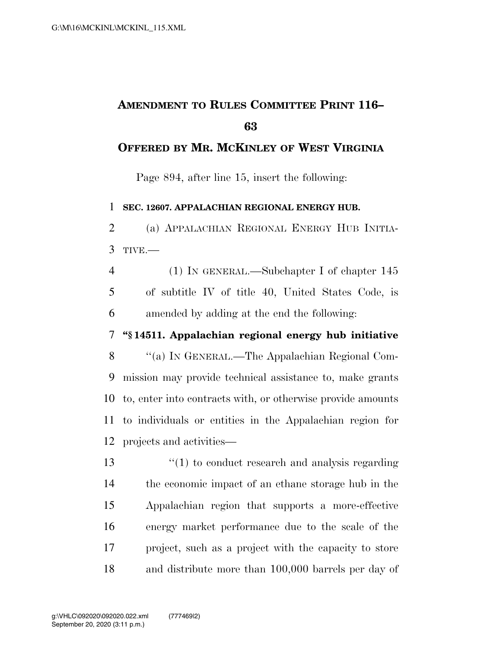## **AMENDMENT TO RULES COMMITTEE PRINT 116–**

## **OFFERED BY MR. MCKINLEY OF WEST VIRGINIA**

Page 894, after line 15, insert the following:

**SEC. 12607. APPALACHIAN REGIONAL ENERGY HUB.** 

 (a) APPALACHIAN REGIONAL ENERGY HUB INITIA-TIVE.—

 (1) IN GENERAL.—Subchapter I of chapter 145 of subtitle IV of title 40, United States Code, is amended by adding at the end the following:

## **''§ 14511. Appalachian regional energy hub initiative**

 ''(a) IN GENERAL.—The Appalachian Regional Com- mission may provide technical assistance to, make grants to, enter into contracts with, or otherwise provide amounts to individuals or entities in the Appalachian region for projects and activities—

13 ''(1) to conduct research and analysis regarding the economic impact of an ethane storage hub in the Appalachian region that supports a more-effective energy market performance due to the scale of the project, such as a project with the capacity to store and distribute more than 100,000 barrels per day of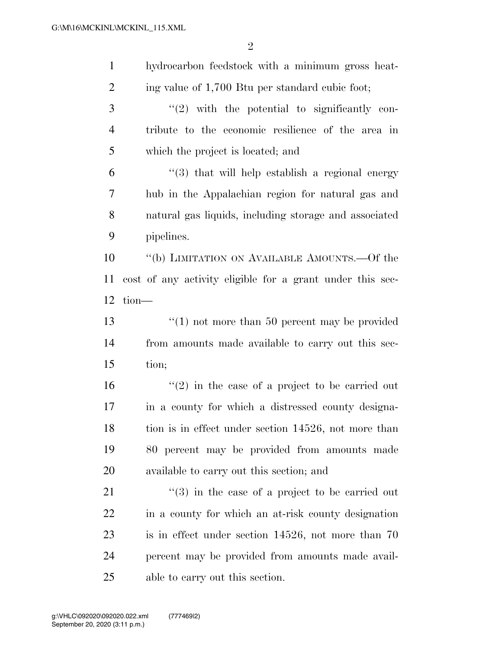| $\mathbf{1}$   | hydrocarbon feedstock with a minimum gross heat-                |
|----------------|-----------------------------------------------------------------|
| $\overline{2}$ | ing value of 1,700 Btu per standard cubic foot;                 |
| 3              | $"(2)$ with the potential to significantly con-                 |
| $\overline{4}$ | tribute to the economic resilience of the area in               |
| 5              | which the project is located; and                               |
| 6              | $(3)$ that will help establish a regional energy                |
| 7              | hub in the Appalachian region for natural gas and               |
| 8              | natural gas liquids, including storage and associated           |
| 9              | pipelines.                                                      |
| 10             | "(b) LIMITATION ON AVAILABLE AMOUNTS.—Of the                    |
| 11             | cost of any activity eligible for a grant under this sec-       |
| 12             | $tion$ —                                                        |
| 13             | $\cdot$ (1) not more than 50 percent may be provided            |
| 14             | from amounts made available to carry out this sec-              |
| 15             | tion;                                                           |
| 16             | $(2)$ in the case of a project to be carried out                |
| 17             | in a county for which a distressed county designa-              |
| 18             | tion is in effect under section 14526, not more than            |
| 19             | 80 percent may be provided from amounts made                    |
| 20             | available to carry out this section; and                        |
| 21             | $\cdot\cdot\cdot(3)$ in the case of a project to be carried out |
| 22             | in a county for which an at-risk county designation             |
| 23             | is in effect under section $14526$ , not more than 70           |
| 24             | percent may be provided from amounts made avail-                |
| 25             | able to carry out this section.                                 |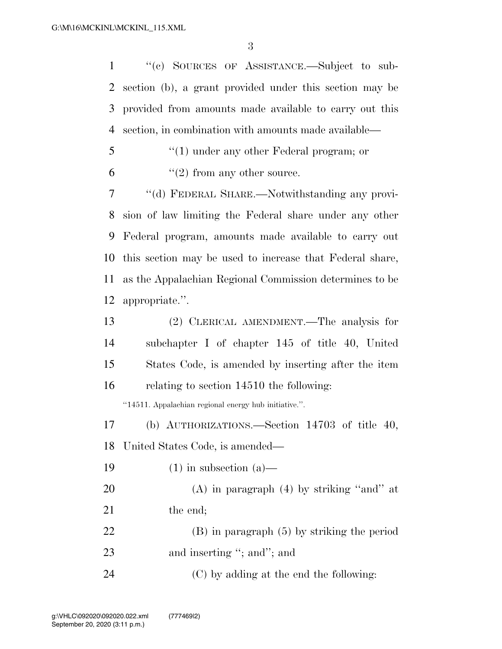''(c) SOURCES OF ASSISTANCE.—Subject to sub- section (b), a grant provided under this section may be provided from amounts made available to carry out this section, in combination with amounts made available—

- ''(1) under any other Federal program; or
- 6  $"(2)$  from any other source.

 ''(d) FEDERAL SHARE.—Notwithstanding any provi- sion of law limiting the Federal share under any other Federal program, amounts made available to carry out this section may be used to increase that Federal share, as the Appalachian Regional Commission determines to be appropriate.''.

| 13 | (2) CLERICAL AMENDMENT.—The analysis for            |
|----|-----------------------------------------------------|
| 14 | subchapter I of chapter 145 of title 40, United     |
| 15 | States Code, is amended by inserting after the item |
| 16 | relating to section 14510 the following:            |

''14511. Appalachian regional energy hub initiative.''.

(b) AUTHORIZATIONS.—Section 14703 of title 40,

United States Code, is amended—

- 19  $(1)$  in subsection  $(a)$  20 (A) in paragraph  $(4)$  by striking "and" at 21 the end; (B) in paragraph (5) by striking the period 23 and inserting "; and "; and
- 24  $(C)$  by adding at the end the following: